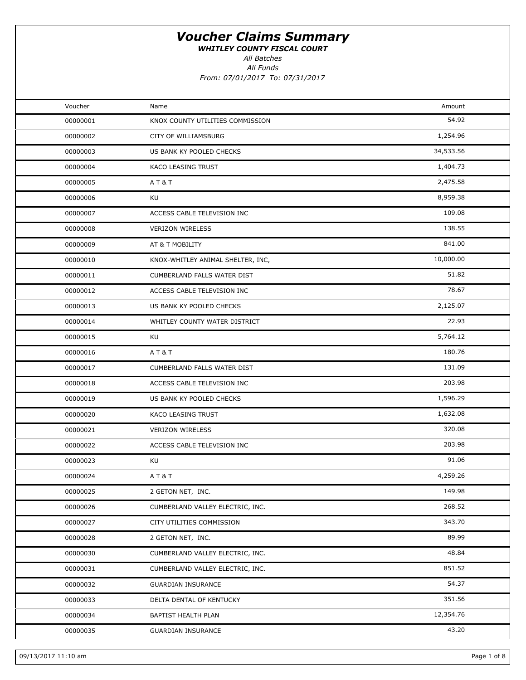WHITLEY COUNTY FISCAL COURT

All Batches

All Funds

| Voucher  | Name                              | Amount    |  |
|----------|-----------------------------------|-----------|--|
| 00000001 | KNOX COUNTY UTILITIES COMMISSION  | 54.92     |  |
| 00000002 | CITY OF WILLIAMSBURG              | 1,254.96  |  |
| 00000003 | US BANK KY POOLED CHECKS          | 34,533.56 |  |
| 00000004 | KACO LEASING TRUST                | 1,404.73  |  |
| 00000005 | AT&T                              | 2,475.58  |  |
| 00000006 | KU                                | 8,959.38  |  |
| 00000007 | ACCESS CABLE TELEVISION INC       | 109.08    |  |
| 00000008 | <b>VERIZON WIRELESS</b>           | 138.55    |  |
| 00000009 | AT & T MOBILITY                   | 841.00    |  |
| 00000010 | KNOX-WHITLEY ANIMAL SHELTER, INC, | 10,000.00 |  |
| 00000011 | CUMBERLAND FALLS WATER DIST       | 51.82     |  |
| 00000012 | ACCESS CABLE TELEVISION INC       | 78.67     |  |
| 00000013 | US BANK KY POOLED CHECKS          | 2,125.07  |  |
| 00000014 | WHITLEY COUNTY WATER DISTRICT     | 22.93     |  |
| 00000015 | KU                                | 5,764.12  |  |
| 00000016 | AT&T                              | 180.76    |  |
| 00000017 | CUMBERLAND FALLS WATER DIST       | 131.09    |  |
| 00000018 | ACCESS CABLE TELEVISION INC       | 203.98    |  |
| 00000019 | US BANK KY POOLED CHECKS          | 1,596.29  |  |
| 00000020 | KACO LEASING TRUST                | 1,632.08  |  |
| 00000021 | <b>VERIZON WIRELESS</b>           | 320.08    |  |
| 00000022 | ACCESS CABLE TELEVISION INC       | 203.98    |  |
| 00000023 | KU                                | 91.06     |  |
| 00000024 | <b>AT&amp;T</b>                   | 4,259.26  |  |
| 00000025 | 2 GETON NET, INC.                 | 149.98    |  |
| 00000026 | CUMBERLAND VALLEY ELECTRIC, INC.  | 268.52    |  |
| 00000027 | CITY UTILITIES COMMISSION         | 343.70    |  |
| 00000028 | 2 GETON NET, INC.                 | 89.99     |  |
| 00000030 | CUMBERLAND VALLEY ELECTRIC, INC.  | 48.84     |  |
| 00000031 | CUMBERLAND VALLEY ELECTRIC, INC.  | 851.52    |  |
| 00000032 | <b>GUARDIAN INSURANCE</b>         | 54.37     |  |
| 00000033 | DELTA DENTAL OF KENTUCKY          | 351.56    |  |
| 00000034 | BAPTIST HEALTH PLAN               | 12,354.76 |  |
| 00000035 | <b>GUARDIAN INSURANCE</b>         | 43.20     |  |
|          |                                   |           |  |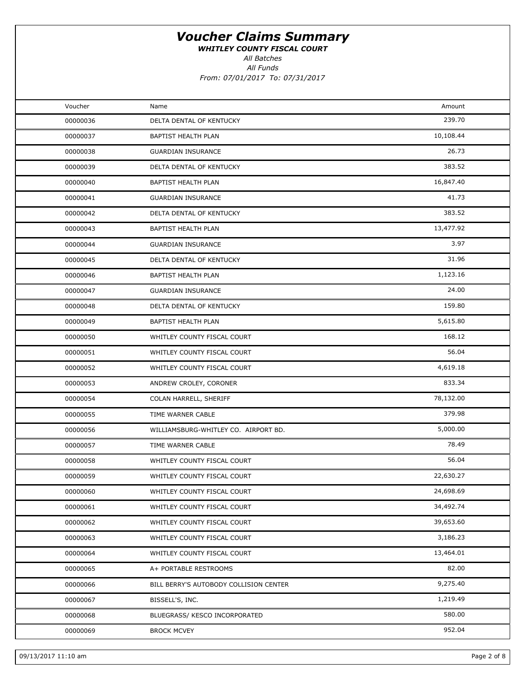WHITLEY COUNTY FISCAL COURT

All Batches

All Funds

| Voucher  | Name                                   | Amount    |  |
|----------|----------------------------------------|-----------|--|
| 00000036 | DELTA DENTAL OF KENTUCKY               | 239.70    |  |
| 00000037 | BAPTIST HEALTH PLAN                    | 10,108.44 |  |
| 00000038 | <b>GUARDIAN INSURANCE</b>              | 26.73     |  |
| 00000039 | DELTA DENTAL OF KENTUCKY               | 383.52    |  |
| 00000040 | BAPTIST HEALTH PLAN                    | 16,847.40 |  |
| 00000041 | <b>GUARDIAN INSURANCE</b>              | 41.73     |  |
| 00000042 | DELTA DENTAL OF KENTUCKY               | 383.52    |  |
| 00000043 | BAPTIST HEALTH PLAN                    | 13,477.92 |  |
| 00000044 | <b>GUARDIAN INSURANCE</b>              | 3.97      |  |
| 00000045 | DELTA DENTAL OF KENTUCKY               | 31.96     |  |
| 00000046 | BAPTIST HEALTH PLAN                    | 1,123.16  |  |
| 00000047 | <b>GUARDIAN INSURANCE</b>              | 24.00     |  |
| 00000048 | DELTA DENTAL OF KENTUCKY               | 159.80    |  |
| 00000049 | BAPTIST HEALTH PLAN                    | 5,615.80  |  |
| 00000050 | WHITLEY COUNTY FISCAL COURT            | 168.12    |  |
| 00000051 | WHITLEY COUNTY FISCAL COURT            | 56.04     |  |
| 00000052 | WHITLEY COUNTY FISCAL COURT            | 4,619.18  |  |
| 00000053 | ANDREW CROLEY, CORONER                 | 833.34    |  |
| 00000054 | COLAN HARRELL, SHERIFF                 | 78,132.00 |  |
| 00000055 | TIME WARNER CABLE                      | 379.98    |  |
| 00000056 | WILLIAMSBURG-WHITLEY CO. AIRPORT BD.   | 5,000.00  |  |
| 00000057 | TIME WARNER CABLE                      | 78.49     |  |
| 00000058 | WHITLEY COUNTY FISCAL COURT            | 56.04     |  |
| 00000059 | WHITLEY COUNTY FISCAL COURT            | 22,630.27 |  |
| 00000060 | WHITLEY COUNTY FISCAL COURT            | 24,698.69 |  |
| 00000061 | WHITLEY COUNTY FISCAL COURT            | 34,492.74 |  |
| 00000062 | WHITLEY COUNTY FISCAL COURT            | 39,653.60 |  |
| 00000063 | WHITLEY COUNTY FISCAL COURT            | 3,186.23  |  |
| 00000064 | WHITLEY COUNTY FISCAL COURT            | 13,464.01 |  |
| 00000065 | A+ PORTABLE RESTROOMS                  | 82.00     |  |
| 00000066 | BILL BERRY'S AUTOBODY COLLISION CENTER | 9,275.40  |  |
| 00000067 | BISSELL'S, INC.                        | 1,219.49  |  |
| 00000068 | BLUEGRASS/ KESCO INCORPORATED          | 580.00    |  |
| 00000069 | <b>BROCK MCVEY</b>                     | 952.04    |  |
|          |                                        |           |  |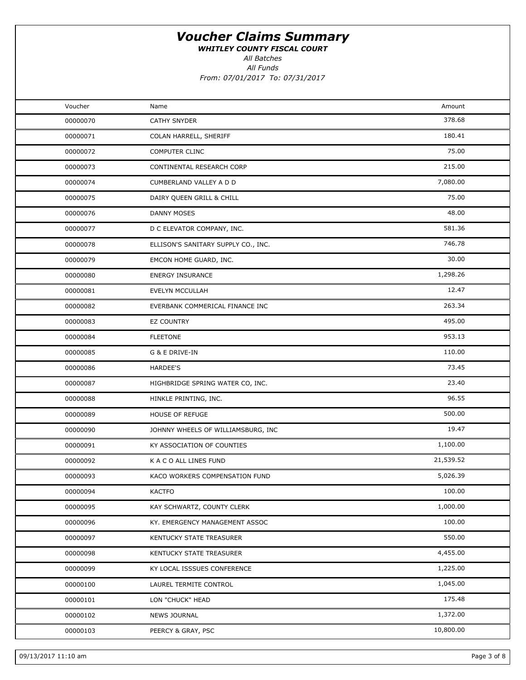WHITLEY COUNTY FISCAL COURT

All Batches

All Funds From: 07/01/2017 To: 07/31/2017

| Voucher<br>Amount<br>Name<br>378.68<br>00000070<br><b>CATHY SNYDER</b><br>180.41<br>00000071<br>COLAN HARRELL, SHERIFF<br>75.00<br><b>COMPUTER CLINC</b><br>00000072<br>215.00<br>00000073<br>CONTINENTAL RESEARCH CORP<br>7,080.00<br>00000074<br>CUMBERLAND VALLEY A D D<br>75.00<br>00000075<br>DAIRY QUEEN GRILL & CHILL<br>48.00<br><b>DANNY MOSES</b><br>00000076<br>581.36<br>00000077<br>D C ELEVATOR COMPANY, INC.<br>746.78<br>00000078<br>ELLISON'S SANITARY SUPPLY CO., INC.<br>30.00<br>00000079<br>EMCON HOME GUARD, INC.<br>1,298.26<br>00000080<br><b>ENERGY INSURANCE</b><br>12.47<br>00000081<br>EVELYN MCCULLAH<br>263.34<br>00000082<br>EVERBANK COMMERICAL FINANCE INC<br>495.00<br>00000083<br>EZ COUNTRY<br>953.13<br><b>FLEETONE</b><br>00000084<br>110.00<br>00000085<br>G & E DRIVE-IN<br>73.45<br>00000086<br><b>HARDEE'S</b><br>23.40<br>00000087<br>HIGHBRIDGE SPRING WATER CO, INC.<br>96.55<br>00000088<br>HINKLE PRINTING, INC.<br>500.00<br>00000089<br><b>HOUSE OF REFUGE</b><br>19.47<br>JOHNNY WHEELS OF WILLIAMSBURG, INC<br>00000090<br>1,100.00<br>00000091<br>KY ASSOCIATION OF COUNTIES<br>21,539.52<br>00000092<br>K A C O ALL LINES FUND<br>5,026.39<br>00000093<br>KACO WORKERS COMPENSATION FUND<br>100.00<br>00000094<br><b>KACTFO</b><br>1,000.00<br>KAY SCHWARTZ, COUNTY CLERK<br>00000095<br>100.00<br>00000096<br>KY. EMERGENCY MANAGEMENT ASSOC<br>550.00<br>00000097<br>KENTUCKY STATE TREASURER<br>4,455.00<br>00000098<br>KENTUCKY STATE TREASURER<br>1,225.00<br>00000099<br>KY LOCAL ISSSUES CONFERENCE<br>1,045.00<br>00000100<br>LAUREL TERMITE CONTROL<br>175.48<br>00000101<br>LON "CHUCK" HEAD<br>1,372.00<br>00000102<br><b>NEWS JOURNAL</b><br>10,800.00<br>PEERCY & GRAY, PSC<br>00000103 |  |  |
|-----------------------------------------------------------------------------------------------------------------------------------------------------------------------------------------------------------------------------------------------------------------------------------------------------------------------------------------------------------------------------------------------------------------------------------------------------------------------------------------------------------------------------------------------------------------------------------------------------------------------------------------------------------------------------------------------------------------------------------------------------------------------------------------------------------------------------------------------------------------------------------------------------------------------------------------------------------------------------------------------------------------------------------------------------------------------------------------------------------------------------------------------------------------------------------------------------------------------------------------------------------------------------------------------------------------------------------------------------------------------------------------------------------------------------------------------------------------------------------------------------------------------------------------------------------------------------------------------------------------------------------------------------------------------------------------------------------------------------------------------------------|--|--|
|                                                                                                                                                                                                                                                                                                                                                                                                                                                                                                                                                                                                                                                                                                                                                                                                                                                                                                                                                                                                                                                                                                                                                                                                                                                                                                                                                                                                                                                                                                                                                                                                                                                                                                                                                           |  |  |
|                                                                                                                                                                                                                                                                                                                                                                                                                                                                                                                                                                                                                                                                                                                                                                                                                                                                                                                                                                                                                                                                                                                                                                                                                                                                                                                                                                                                                                                                                                                                                                                                                                                                                                                                                           |  |  |
|                                                                                                                                                                                                                                                                                                                                                                                                                                                                                                                                                                                                                                                                                                                                                                                                                                                                                                                                                                                                                                                                                                                                                                                                                                                                                                                                                                                                                                                                                                                                                                                                                                                                                                                                                           |  |  |
|                                                                                                                                                                                                                                                                                                                                                                                                                                                                                                                                                                                                                                                                                                                                                                                                                                                                                                                                                                                                                                                                                                                                                                                                                                                                                                                                                                                                                                                                                                                                                                                                                                                                                                                                                           |  |  |
|                                                                                                                                                                                                                                                                                                                                                                                                                                                                                                                                                                                                                                                                                                                                                                                                                                                                                                                                                                                                                                                                                                                                                                                                                                                                                                                                                                                                                                                                                                                                                                                                                                                                                                                                                           |  |  |
|                                                                                                                                                                                                                                                                                                                                                                                                                                                                                                                                                                                                                                                                                                                                                                                                                                                                                                                                                                                                                                                                                                                                                                                                                                                                                                                                                                                                                                                                                                                                                                                                                                                                                                                                                           |  |  |
|                                                                                                                                                                                                                                                                                                                                                                                                                                                                                                                                                                                                                                                                                                                                                                                                                                                                                                                                                                                                                                                                                                                                                                                                                                                                                                                                                                                                                                                                                                                                                                                                                                                                                                                                                           |  |  |
|                                                                                                                                                                                                                                                                                                                                                                                                                                                                                                                                                                                                                                                                                                                                                                                                                                                                                                                                                                                                                                                                                                                                                                                                                                                                                                                                                                                                                                                                                                                                                                                                                                                                                                                                                           |  |  |
|                                                                                                                                                                                                                                                                                                                                                                                                                                                                                                                                                                                                                                                                                                                                                                                                                                                                                                                                                                                                                                                                                                                                                                                                                                                                                                                                                                                                                                                                                                                                                                                                                                                                                                                                                           |  |  |
|                                                                                                                                                                                                                                                                                                                                                                                                                                                                                                                                                                                                                                                                                                                                                                                                                                                                                                                                                                                                                                                                                                                                                                                                                                                                                                                                                                                                                                                                                                                                                                                                                                                                                                                                                           |  |  |
|                                                                                                                                                                                                                                                                                                                                                                                                                                                                                                                                                                                                                                                                                                                                                                                                                                                                                                                                                                                                                                                                                                                                                                                                                                                                                                                                                                                                                                                                                                                                                                                                                                                                                                                                                           |  |  |
|                                                                                                                                                                                                                                                                                                                                                                                                                                                                                                                                                                                                                                                                                                                                                                                                                                                                                                                                                                                                                                                                                                                                                                                                                                                                                                                                                                                                                                                                                                                                                                                                                                                                                                                                                           |  |  |
|                                                                                                                                                                                                                                                                                                                                                                                                                                                                                                                                                                                                                                                                                                                                                                                                                                                                                                                                                                                                                                                                                                                                                                                                                                                                                                                                                                                                                                                                                                                                                                                                                                                                                                                                                           |  |  |
|                                                                                                                                                                                                                                                                                                                                                                                                                                                                                                                                                                                                                                                                                                                                                                                                                                                                                                                                                                                                                                                                                                                                                                                                                                                                                                                                                                                                                                                                                                                                                                                                                                                                                                                                                           |  |  |
|                                                                                                                                                                                                                                                                                                                                                                                                                                                                                                                                                                                                                                                                                                                                                                                                                                                                                                                                                                                                                                                                                                                                                                                                                                                                                                                                                                                                                                                                                                                                                                                                                                                                                                                                                           |  |  |
|                                                                                                                                                                                                                                                                                                                                                                                                                                                                                                                                                                                                                                                                                                                                                                                                                                                                                                                                                                                                                                                                                                                                                                                                                                                                                                                                                                                                                                                                                                                                                                                                                                                                                                                                                           |  |  |
|                                                                                                                                                                                                                                                                                                                                                                                                                                                                                                                                                                                                                                                                                                                                                                                                                                                                                                                                                                                                                                                                                                                                                                                                                                                                                                                                                                                                                                                                                                                                                                                                                                                                                                                                                           |  |  |
|                                                                                                                                                                                                                                                                                                                                                                                                                                                                                                                                                                                                                                                                                                                                                                                                                                                                                                                                                                                                                                                                                                                                                                                                                                                                                                                                                                                                                                                                                                                                                                                                                                                                                                                                                           |  |  |
|                                                                                                                                                                                                                                                                                                                                                                                                                                                                                                                                                                                                                                                                                                                                                                                                                                                                                                                                                                                                                                                                                                                                                                                                                                                                                                                                                                                                                                                                                                                                                                                                                                                                                                                                                           |  |  |
|                                                                                                                                                                                                                                                                                                                                                                                                                                                                                                                                                                                                                                                                                                                                                                                                                                                                                                                                                                                                                                                                                                                                                                                                                                                                                                                                                                                                                                                                                                                                                                                                                                                                                                                                                           |  |  |
|                                                                                                                                                                                                                                                                                                                                                                                                                                                                                                                                                                                                                                                                                                                                                                                                                                                                                                                                                                                                                                                                                                                                                                                                                                                                                                                                                                                                                                                                                                                                                                                                                                                                                                                                                           |  |  |
|                                                                                                                                                                                                                                                                                                                                                                                                                                                                                                                                                                                                                                                                                                                                                                                                                                                                                                                                                                                                                                                                                                                                                                                                                                                                                                                                                                                                                                                                                                                                                                                                                                                                                                                                                           |  |  |
|                                                                                                                                                                                                                                                                                                                                                                                                                                                                                                                                                                                                                                                                                                                                                                                                                                                                                                                                                                                                                                                                                                                                                                                                                                                                                                                                                                                                                                                                                                                                                                                                                                                                                                                                                           |  |  |
|                                                                                                                                                                                                                                                                                                                                                                                                                                                                                                                                                                                                                                                                                                                                                                                                                                                                                                                                                                                                                                                                                                                                                                                                                                                                                                                                                                                                                                                                                                                                                                                                                                                                                                                                                           |  |  |
|                                                                                                                                                                                                                                                                                                                                                                                                                                                                                                                                                                                                                                                                                                                                                                                                                                                                                                                                                                                                                                                                                                                                                                                                                                                                                                                                                                                                                                                                                                                                                                                                                                                                                                                                                           |  |  |
|                                                                                                                                                                                                                                                                                                                                                                                                                                                                                                                                                                                                                                                                                                                                                                                                                                                                                                                                                                                                                                                                                                                                                                                                                                                                                                                                                                                                                                                                                                                                                                                                                                                                                                                                                           |  |  |
|                                                                                                                                                                                                                                                                                                                                                                                                                                                                                                                                                                                                                                                                                                                                                                                                                                                                                                                                                                                                                                                                                                                                                                                                                                                                                                                                                                                                                                                                                                                                                                                                                                                                                                                                                           |  |  |
|                                                                                                                                                                                                                                                                                                                                                                                                                                                                                                                                                                                                                                                                                                                                                                                                                                                                                                                                                                                                                                                                                                                                                                                                                                                                                                                                                                                                                                                                                                                                                                                                                                                                                                                                                           |  |  |
|                                                                                                                                                                                                                                                                                                                                                                                                                                                                                                                                                                                                                                                                                                                                                                                                                                                                                                                                                                                                                                                                                                                                                                                                                                                                                                                                                                                                                                                                                                                                                                                                                                                                                                                                                           |  |  |
|                                                                                                                                                                                                                                                                                                                                                                                                                                                                                                                                                                                                                                                                                                                                                                                                                                                                                                                                                                                                                                                                                                                                                                                                                                                                                                                                                                                                                                                                                                                                                                                                                                                                                                                                                           |  |  |
|                                                                                                                                                                                                                                                                                                                                                                                                                                                                                                                                                                                                                                                                                                                                                                                                                                                                                                                                                                                                                                                                                                                                                                                                                                                                                                                                                                                                                                                                                                                                                                                                                                                                                                                                                           |  |  |
|                                                                                                                                                                                                                                                                                                                                                                                                                                                                                                                                                                                                                                                                                                                                                                                                                                                                                                                                                                                                                                                                                                                                                                                                                                                                                                                                                                                                                                                                                                                                                                                                                                                                                                                                                           |  |  |
|                                                                                                                                                                                                                                                                                                                                                                                                                                                                                                                                                                                                                                                                                                                                                                                                                                                                                                                                                                                                                                                                                                                                                                                                                                                                                                                                                                                                                                                                                                                                                                                                                                                                                                                                                           |  |  |
|                                                                                                                                                                                                                                                                                                                                                                                                                                                                                                                                                                                                                                                                                                                                                                                                                                                                                                                                                                                                                                                                                                                                                                                                                                                                                                                                                                                                                                                                                                                                                                                                                                                                                                                                                           |  |  |
|                                                                                                                                                                                                                                                                                                                                                                                                                                                                                                                                                                                                                                                                                                                                                                                                                                                                                                                                                                                                                                                                                                                                                                                                                                                                                                                                                                                                                                                                                                                                                                                                                                                                                                                                                           |  |  |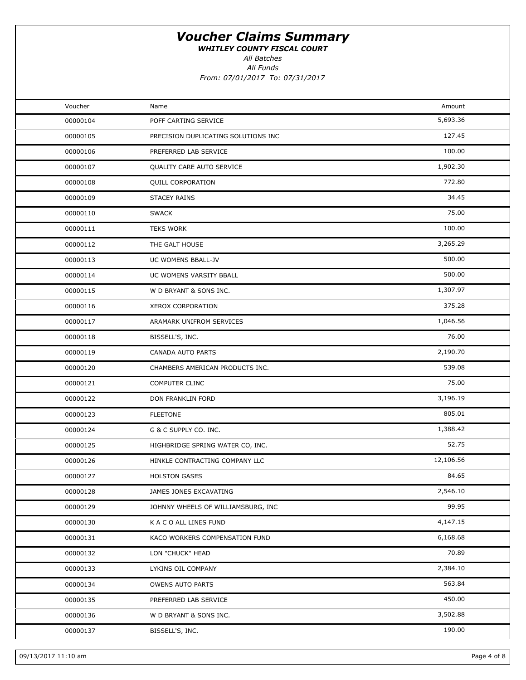WHITLEY COUNTY FISCAL COURT

All Batches

All Funds

| Voucher<br>Amount<br>Name<br>5,693.36<br>00000104<br>POFF CARTING SERVICE<br>127.45<br>00000105<br>PRECISION DUPLICATING SOLUTIONS INC<br>100.00<br>00000106<br>PREFERRED LAB SERVICE<br>1,902.30<br>00000107<br>QUALITY CARE AUTO SERVICE<br>772.80<br>00000108<br>QUILL CORPORATION<br>34.45<br>00000109<br><b>STACEY RAINS</b><br>75.00<br>00000110<br><b>SWACK</b><br>100.00<br><b>TEKS WORK</b><br>00000111<br>3,265.29<br>00000112<br>THE GALT HOUSE<br>500.00<br>00000113<br>UC WOMENS BBALL-JV<br>500.00<br>00000114<br>UC WOMENS VARSITY BBALL<br>1,307.97<br>00000115<br>W D BRYANT & SONS INC.<br>375.28<br>00000116<br>XEROX CORPORATION<br>1,046.56<br>00000117<br>ARAMARK UNIFROM SERVICES<br>76.00<br>00000118<br>BISSELL'S, INC.<br>2,190.70<br>00000119<br>CANADA AUTO PARTS<br>539.08<br>00000120<br>CHAMBERS AMERICAN PRODUCTS INC.<br>75.00<br>00000121<br>COMPUTER CLINC<br>3,196.19<br>00000122<br>DON FRANKLIN FORD<br>805.01<br>00000123<br><b>FLEETONE</b><br>1,388.42<br>00000124<br>G & C SUPPLY CO. INC.<br>52.75<br>00000125<br>HIGHBRIDGE SPRING WATER CO, INC.<br>12,106.56<br>00000126<br>HINKLE CONTRACTING COMPANY LLC<br>84.65<br>00000127<br><b>HOLSTON GASES</b><br>2,546.10<br>00000128<br>JAMES JONES EXCAVATING<br>99.95<br>JOHNNY WHEELS OF WILLIAMSBURG, INC<br>00000129<br>4,147.15<br>00000130<br>K A C O ALL LINES FUND<br>6,168.68<br>00000131<br>KACO WORKERS COMPENSATION FUND<br>70.89<br>00000132<br>LON "CHUCK" HEAD<br>2,384.10<br>00000133<br>LYKINS OIL COMPANY<br>563.84<br>00000134<br>OWENS AUTO PARTS<br>450.00<br>00000135<br>PREFERRED LAB SERVICE<br>3,502.88<br>00000136<br>W D BRYANT & SONS INC. |  |  |
|------------------------------------------------------------------------------------------------------------------------------------------------------------------------------------------------------------------------------------------------------------------------------------------------------------------------------------------------------------------------------------------------------------------------------------------------------------------------------------------------------------------------------------------------------------------------------------------------------------------------------------------------------------------------------------------------------------------------------------------------------------------------------------------------------------------------------------------------------------------------------------------------------------------------------------------------------------------------------------------------------------------------------------------------------------------------------------------------------------------------------------------------------------------------------------------------------------------------------------------------------------------------------------------------------------------------------------------------------------------------------------------------------------------------------------------------------------------------------------------------------------------------------------------------------------------------------------------------------------------------------------------------------------------|--|--|
|                                                                                                                                                                                                                                                                                                                                                                                                                                                                                                                                                                                                                                                                                                                                                                                                                                                                                                                                                                                                                                                                                                                                                                                                                                                                                                                                                                                                                                                                                                                                                                                                                                                                  |  |  |
|                                                                                                                                                                                                                                                                                                                                                                                                                                                                                                                                                                                                                                                                                                                                                                                                                                                                                                                                                                                                                                                                                                                                                                                                                                                                                                                                                                                                                                                                                                                                                                                                                                                                  |  |  |
|                                                                                                                                                                                                                                                                                                                                                                                                                                                                                                                                                                                                                                                                                                                                                                                                                                                                                                                                                                                                                                                                                                                                                                                                                                                                                                                                                                                                                                                                                                                                                                                                                                                                  |  |  |
|                                                                                                                                                                                                                                                                                                                                                                                                                                                                                                                                                                                                                                                                                                                                                                                                                                                                                                                                                                                                                                                                                                                                                                                                                                                                                                                                                                                                                                                                                                                                                                                                                                                                  |  |  |
|                                                                                                                                                                                                                                                                                                                                                                                                                                                                                                                                                                                                                                                                                                                                                                                                                                                                                                                                                                                                                                                                                                                                                                                                                                                                                                                                                                                                                                                                                                                                                                                                                                                                  |  |  |
|                                                                                                                                                                                                                                                                                                                                                                                                                                                                                                                                                                                                                                                                                                                                                                                                                                                                                                                                                                                                                                                                                                                                                                                                                                                                                                                                                                                                                                                                                                                                                                                                                                                                  |  |  |
|                                                                                                                                                                                                                                                                                                                                                                                                                                                                                                                                                                                                                                                                                                                                                                                                                                                                                                                                                                                                                                                                                                                                                                                                                                                                                                                                                                                                                                                                                                                                                                                                                                                                  |  |  |
|                                                                                                                                                                                                                                                                                                                                                                                                                                                                                                                                                                                                                                                                                                                                                                                                                                                                                                                                                                                                                                                                                                                                                                                                                                                                                                                                                                                                                                                                                                                                                                                                                                                                  |  |  |
|                                                                                                                                                                                                                                                                                                                                                                                                                                                                                                                                                                                                                                                                                                                                                                                                                                                                                                                                                                                                                                                                                                                                                                                                                                                                                                                                                                                                                                                                                                                                                                                                                                                                  |  |  |
|                                                                                                                                                                                                                                                                                                                                                                                                                                                                                                                                                                                                                                                                                                                                                                                                                                                                                                                                                                                                                                                                                                                                                                                                                                                                                                                                                                                                                                                                                                                                                                                                                                                                  |  |  |
|                                                                                                                                                                                                                                                                                                                                                                                                                                                                                                                                                                                                                                                                                                                                                                                                                                                                                                                                                                                                                                                                                                                                                                                                                                                                                                                                                                                                                                                                                                                                                                                                                                                                  |  |  |
|                                                                                                                                                                                                                                                                                                                                                                                                                                                                                                                                                                                                                                                                                                                                                                                                                                                                                                                                                                                                                                                                                                                                                                                                                                                                                                                                                                                                                                                                                                                                                                                                                                                                  |  |  |
|                                                                                                                                                                                                                                                                                                                                                                                                                                                                                                                                                                                                                                                                                                                                                                                                                                                                                                                                                                                                                                                                                                                                                                                                                                                                                                                                                                                                                                                                                                                                                                                                                                                                  |  |  |
|                                                                                                                                                                                                                                                                                                                                                                                                                                                                                                                                                                                                                                                                                                                                                                                                                                                                                                                                                                                                                                                                                                                                                                                                                                                                                                                                                                                                                                                                                                                                                                                                                                                                  |  |  |
|                                                                                                                                                                                                                                                                                                                                                                                                                                                                                                                                                                                                                                                                                                                                                                                                                                                                                                                                                                                                                                                                                                                                                                                                                                                                                                                                                                                                                                                                                                                                                                                                                                                                  |  |  |
|                                                                                                                                                                                                                                                                                                                                                                                                                                                                                                                                                                                                                                                                                                                                                                                                                                                                                                                                                                                                                                                                                                                                                                                                                                                                                                                                                                                                                                                                                                                                                                                                                                                                  |  |  |
|                                                                                                                                                                                                                                                                                                                                                                                                                                                                                                                                                                                                                                                                                                                                                                                                                                                                                                                                                                                                                                                                                                                                                                                                                                                                                                                                                                                                                                                                                                                                                                                                                                                                  |  |  |
|                                                                                                                                                                                                                                                                                                                                                                                                                                                                                                                                                                                                                                                                                                                                                                                                                                                                                                                                                                                                                                                                                                                                                                                                                                                                                                                                                                                                                                                                                                                                                                                                                                                                  |  |  |
|                                                                                                                                                                                                                                                                                                                                                                                                                                                                                                                                                                                                                                                                                                                                                                                                                                                                                                                                                                                                                                                                                                                                                                                                                                                                                                                                                                                                                                                                                                                                                                                                                                                                  |  |  |
|                                                                                                                                                                                                                                                                                                                                                                                                                                                                                                                                                                                                                                                                                                                                                                                                                                                                                                                                                                                                                                                                                                                                                                                                                                                                                                                                                                                                                                                                                                                                                                                                                                                                  |  |  |
|                                                                                                                                                                                                                                                                                                                                                                                                                                                                                                                                                                                                                                                                                                                                                                                                                                                                                                                                                                                                                                                                                                                                                                                                                                                                                                                                                                                                                                                                                                                                                                                                                                                                  |  |  |
|                                                                                                                                                                                                                                                                                                                                                                                                                                                                                                                                                                                                                                                                                                                                                                                                                                                                                                                                                                                                                                                                                                                                                                                                                                                                                                                                                                                                                                                                                                                                                                                                                                                                  |  |  |
|                                                                                                                                                                                                                                                                                                                                                                                                                                                                                                                                                                                                                                                                                                                                                                                                                                                                                                                                                                                                                                                                                                                                                                                                                                                                                                                                                                                                                                                                                                                                                                                                                                                                  |  |  |
|                                                                                                                                                                                                                                                                                                                                                                                                                                                                                                                                                                                                                                                                                                                                                                                                                                                                                                                                                                                                                                                                                                                                                                                                                                                                                                                                                                                                                                                                                                                                                                                                                                                                  |  |  |
|                                                                                                                                                                                                                                                                                                                                                                                                                                                                                                                                                                                                                                                                                                                                                                                                                                                                                                                                                                                                                                                                                                                                                                                                                                                                                                                                                                                                                                                                                                                                                                                                                                                                  |  |  |
|                                                                                                                                                                                                                                                                                                                                                                                                                                                                                                                                                                                                                                                                                                                                                                                                                                                                                                                                                                                                                                                                                                                                                                                                                                                                                                                                                                                                                                                                                                                                                                                                                                                                  |  |  |
|                                                                                                                                                                                                                                                                                                                                                                                                                                                                                                                                                                                                                                                                                                                                                                                                                                                                                                                                                                                                                                                                                                                                                                                                                                                                                                                                                                                                                                                                                                                                                                                                                                                                  |  |  |
|                                                                                                                                                                                                                                                                                                                                                                                                                                                                                                                                                                                                                                                                                                                                                                                                                                                                                                                                                                                                                                                                                                                                                                                                                                                                                                                                                                                                                                                                                                                                                                                                                                                                  |  |  |
|                                                                                                                                                                                                                                                                                                                                                                                                                                                                                                                                                                                                                                                                                                                                                                                                                                                                                                                                                                                                                                                                                                                                                                                                                                                                                                                                                                                                                                                                                                                                                                                                                                                                  |  |  |
|                                                                                                                                                                                                                                                                                                                                                                                                                                                                                                                                                                                                                                                                                                                                                                                                                                                                                                                                                                                                                                                                                                                                                                                                                                                                                                                                                                                                                                                                                                                                                                                                                                                                  |  |  |
|                                                                                                                                                                                                                                                                                                                                                                                                                                                                                                                                                                                                                                                                                                                                                                                                                                                                                                                                                                                                                                                                                                                                                                                                                                                                                                                                                                                                                                                                                                                                                                                                                                                                  |  |  |
|                                                                                                                                                                                                                                                                                                                                                                                                                                                                                                                                                                                                                                                                                                                                                                                                                                                                                                                                                                                                                                                                                                                                                                                                                                                                                                                                                                                                                                                                                                                                                                                                                                                                  |  |  |
|                                                                                                                                                                                                                                                                                                                                                                                                                                                                                                                                                                                                                                                                                                                                                                                                                                                                                                                                                                                                                                                                                                                                                                                                                                                                                                                                                                                                                                                                                                                                                                                                                                                                  |  |  |
|                                                                                                                                                                                                                                                                                                                                                                                                                                                                                                                                                                                                                                                                                                                                                                                                                                                                                                                                                                                                                                                                                                                                                                                                                                                                                                                                                                                                                                                                                                                                                                                                                                                                  |  |  |
| 190.00<br>00000137<br>BISSELL'S, INC.                                                                                                                                                                                                                                                                                                                                                                                                                                                                                                                                                                                                                                                                                                                                                                                                                                                                                                                                                                                                                                                                                                                                                                                                                                                                                                                                                                                                                                                                                                                                                                                                                            |  |  |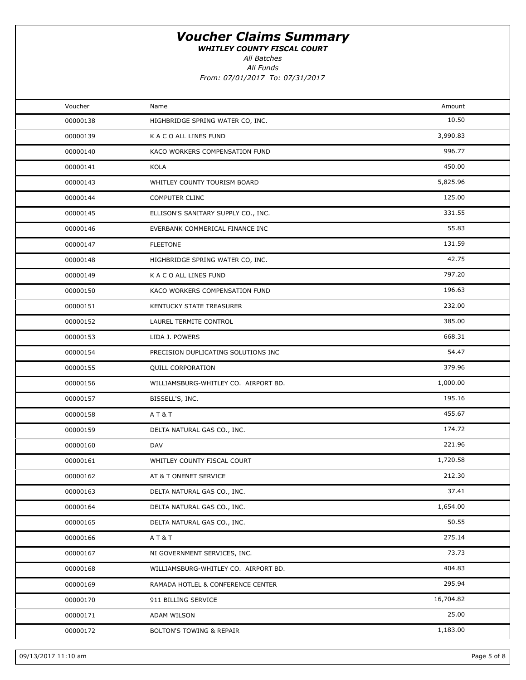WHITLEY COUNTY FISCAL COURT

All Batches

All Funds

| Voucher  | Name                                 | Amount    |  |
|----------|--------------------------------------|-----------|--|
| 00000138 | HIGHBRIDGE SPRING WATER CO, INC.     | 10.50     |  |
| 00000139 | K A C O ALL LINES FUND               | 3,990.83  |  |
| 00000140 | KACO WORKERS COMPENSATION FUND       | 996.77    |  |
| 00000141 | KOLA                                 | 450.00    |  |
| 00000143 | WHITLEY COUNTY TOURISM BOARD         | 5,825.96  |  |
| 00000144 | <b>COMPUTER CLINC</b>                | 125.00    |  |
| 00000145 | ELLISON'S SANITARY SUPPLY CO., INC.  | 331.55    |  |
| 00000146 | EVERBANK COMMERICAL FINANCE INC      | 55.83     |  |
| 00000147 | <b>FLEETONE</b>                      | 131.59    |  |
| 00000148 | HIGHBRIDGE SPRING WATER CO, INC.     | 42.75     |  |
| 00000149 | K A C O ALL LINES FUND               | 797.20    |  |
| 00000150 | KACO WORKERS COMPENSATION FUND       | 196.63    |  |
| 00000151 | KENTUCKY STATE TREASURER             | 232.00    |  |
| 00000152 | LAUREL TERMITE CONTROL               | 385.00    |  |
| 00000153 | LIDA J. POWERS                       | 668.31    |  |
| 00000154 | PRECISION DUPLICATING SOLUTIONS INC  | 54.47     |  |
| 00000155 | <b>QUILL CORPORATION</b>             | 379.96    |  |
| 00000156 | WILLIAMSBURG-WHITLEY CO. AIRPORT BD. | 1,000.00  |  |
| 00000157 | BISSELL'S, INC.                      | 195.16    |  |
| 00000158 | AT&T                                 | 455.67    |  |
| 00000159 | DELTA NATURAL GAS CO., INC.          | 174.72    |  |
| 00000160 | DAV                                  | 221.96    |  |
| 00000161 | WHITLEY COUNTY FISCAL COURT          | 1,720.58  |  |
| 00000162 | AT & T ONENET SERVICE                | 212.30    |  |
| 00000163 | DELTA NATURAL GAS CO., INC.          | 37.41     |  |
| 00000164 | DELTA NATURAL GAS CO., INC.          | 1,654.00  |  |
| 00000165 | DELTA NATURAL GAS CO., INC.          | 50.55     |  |
| 00000166 | AT&T                                 | 275.14    |  |
| 00000167 | NI GOVERNMENT SERVICES, INC.         | 73.73     |  |
| 00000168 | WILLIAMSBURG-WHITLEY CO. AIRPORT BD. | 404.83    |  |
| 00000169 | RAMADA HOTLEL & CONFERENCE CENTER    | 295.94    |  |
| 00000170 | 911 BILLING SERVICE                  | 16,704.82 |  |
| 00000171 | ADAM WILSON                          | 25.00     |  |
| 00000172 | <b>BOLTON'S TOWING &amp; REPAIR</b>  | 1,183.00  |  |
|          |                                      |           |  |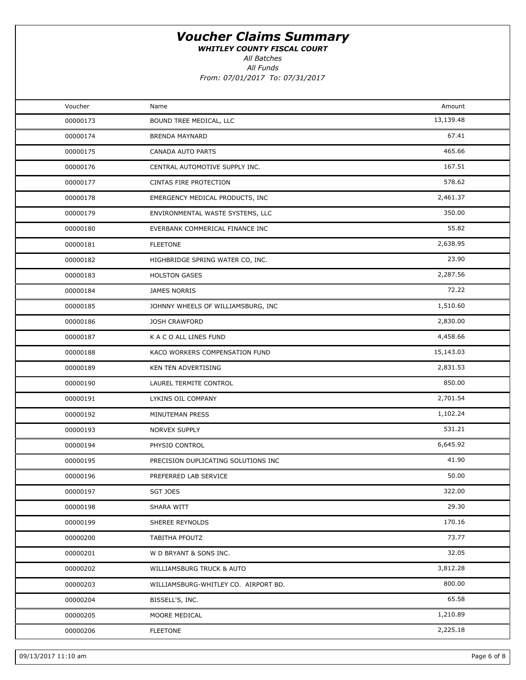WHITLEY COUNTY FISCAL COURT

All Batches

All Funds

| Voucher  | Name                                 | Amount    |  |
|----------|--------------------------------------|-----------|--|
| 00000173 | BOUND TREE MEDICAL, LLC              | 13,139.48 |  |
| 00000174 | <b>BRENDA MAYNARD</b>                | 67.41     |  |
| 00000175 | CANADA AUTO PARTS                    | 465.66    |  |
| 00000176 | CENTRAL AUTOMOTIVE SUPPLY INC.       | 167.51    |  |
| 00000177 | CINTAS FIRE PROTECTION               | 578.62    |  |
| 00000178 | EMERGENCY MEDICAL PRODUCTS, INC      | 2,461.37  |  |
| 00000179 | ENVIRONMENTAL WASTE SYSTEMS, LLC     | 350.00    |  |
| 00000180 | EVERBANK COMMERICAL FINANCE INC      | 55.82     |  |
| 00000181 | <b>FLEETONE</b>                      | 2,638.95  |  |
| 00000182 | HIGHBRIDGE SPRING WATER CO, INC.     | 23.90     |  |
| 00000183 | <b>HOLSTON GASES</b>                 | 2,287.56  |  |
| 00000184 | <b>JAMES NORRIS</b>                  | 72.22     |  |
| 00000185 | JOHNNY WHEELS OF WILLIAMSBURG, INC   | 1,510.60  |  |
| 00000186 | <b>JOSH CRAWFORD</b>                 | 2,830.00  |  |
| 00000187 | K A C O ALL LINES FUND               | 4,458.66  |  |
| 00000188 | KACO WORKERS COMPENSATION FUND       | 15,143.03 |  |
| 00000189 | KEN TEN ADVERTISING                  | 2,831.53  |  |
| 00000190 | LAUREL TERMITE CONTROL               | 850.00    |  |
| 00000191 | LYKINS OIL COMPANY                   | 2,701.54  |  |
| 00000192 | MINUTEMAN PRESS                      | 1,102.24  |  |
| 00000193 | <b>NORVEX SUPPLY</b>                 | 531.21    |  |
| 00000194 | PHYSIO CONTROL                       | 6,645.92  |  |
| 00000195 | PRECISION DUPLICATING SOLUTIONS INC  | 41.90     |  |
| 00000196 | PREFERRED LAB SERVICE                | 50.00     |  |
| 00000197 | SGT JOES                             | 322.00    |  |
| 00000198 | SHARA WITT                           | 29.30     |  |
| 00000199 | SHEREE REYNOLDS                      | 170.16    |  |
| 00000200 | TABITHA PFOUTZ                       | 73.77     |  |
| 00000201 | W D BRYANT & SONS INC.               | 32.05     |  |
| 00000202 | WILLIAMSBURG TRUCK & AUTO            | 3,812.28  |  |
| 00000203 | WILLIAMSBURG-WHITLEY CO. AIRPORT BD. | 800.00    |  |
| 00000204 | BISSELL'S, INC.                      | 65.58     |  |
| 00000205 | MOORE MEDICAL                        | 1,210.89  |  |
| 00000206 | <b>FLEETONE</b>                      | 2,225.18  |  |
|          |                                      |           |  |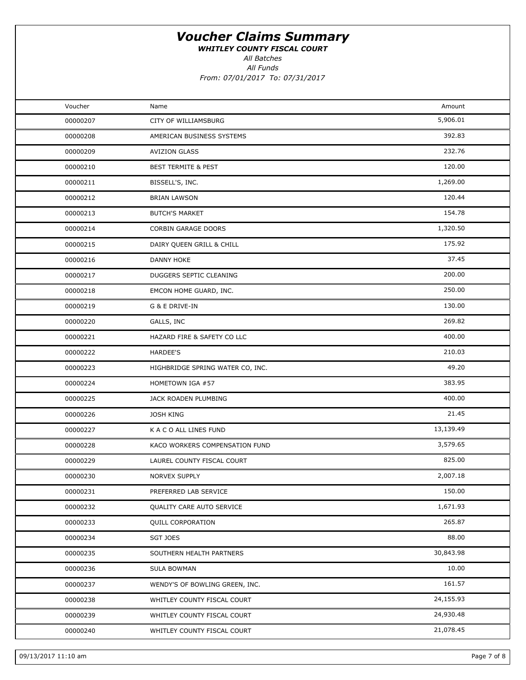WHITLEY COUNTY FISCAL COURT

All Funds All Batches

| Voucher  | Name                             | Amount    |  |
|----------|----------------------------------|-----------|--|
| 00000207 | <b>CITY OF WILLIAMSBURG</b>      | 5,906.01  |  |
| 00000208 | AMERICAN BUSINESS SYSTEMS        | 392.83    |  |
| 00000209 | <b>AVIZION GLASS</b>             | 232.76    |  |
| 00000210 | <b>BEST TERMITE &amp; PEST</b>   | 120.00    |  |
| 00000211 | BISSELL'S, INC.                  | 1,269.00  |  |
| 00000212 | <b>BRIAN LAWSON</b>              | 120.44    |  |
| 00000213 | <b>BUTCH'S MARKET</b>            | 154.78    |  |
| 00000214 | <b>CORBIN GARAGE DOORS</b>       | 1,320.50  |  |
| 00000215 | DAIRY QUEEN GRILL & CHILL        | 175.92    |  |
| 00000216 | <b>DANNY HOKE</b>                | 37.45     |  |
| 00000217 | DUGGERS SEPTIC CLEANING          | 200.00    |  |
| 00000218 | EMCON HOME GUARD, INC.           | 250.00    |  |
| 00000219 | G & E DRIVE-IN                   | 130.00    |  |
| 00000220 | GALLS, INC                       | 269.82    |  |
| 00000221 | HAZARD FIRE & SAFETY CO LLC      | 400.00    |  |
| 00000222 | <b>HARDEE'S</b>                  | 210.03    |  |
| 00000223 | HIGHBRIDGE SPRING WATER CO, INC. | 49.20     |  |
| 00000224 | HOMETOWN IGA #57                 | 383.95    |  |
| 00000225 | JACK ROADEN PLUMBING             | 400.00    |  |
| 00000226 | <b>JOSH KING</b>                 | 21.45     |  |
| 00000227 | K A C O ALL LINES FUND           | 13,139.49 |  |
| 00000228 | KACO WORKERS COMPENSATION FUND   | 3,579.65  |  |
| 00000229 | LAUREL COUNTY FISCAL COURT       | 825.00    |  |
| 00000230 | <b>NORVEX SUPPLY</b>             | 2,007.18  |  |
| 00000231 | PREFERRED LAB SERVICE            | 150.00    |  |
| 00000232 | QUALITY CARE AUTO SERVICE        | 1,671.93  |  |
| 00000233 | QUILL CORPORATION                | 265.87    |  |
| 00000234 | <b>SGT JOES</b>                  | 88.00     |  |
| 00000235 | SOUTHERN HEALTH PARTNERS         | 30,843.98 |  |
| 00000236 | <b>SULA BOWMAN</b>               | 10.00     |  |
| 00000237 | WENDY'S OF BOWLING GREEN, INC.   | 161.57    |  |
| 00000238 | WHITLEY COUNTY FISCAL COURT      | 24,155.93 |  |
| 00000239 | WHITLEY COUNTY FISCAL COURT      | 24,930.48 |  |
| 00000240 | WHITLEY COUNTY FISCAL COURT      | 21,078.45 |  |